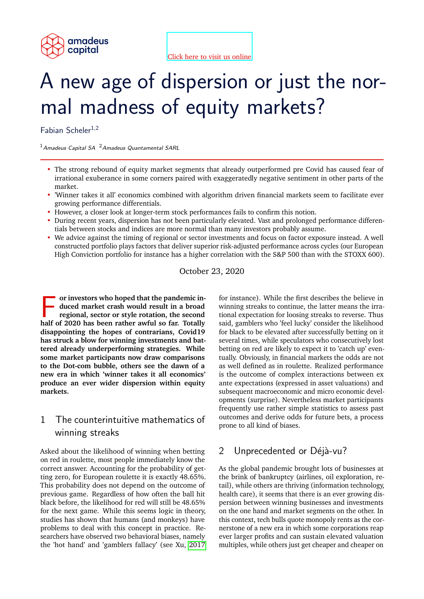

# A new age of dispersion or just the normal madness of equity markets?

Fabian Scheler1,2

 $<sup>1</sup>$ Amadeus Capital SA  $<sup>2</sup>$ Amadeus Quantamental SARL</sup></sup>

- The strong rebound of equity market segments that already outperformed pre Covid has caused fear of irrational exuberance in some corners paired with exaggeratedly negative sentiment in other parts of the market.
- 'Winner takes it all' economics combined with algorithm driven financial markets seem to facilitate ever growing performance differentials.
- However, a closer look at longer-term stock performances fails to confirm this notion.
- During recent years, dispersion has not been particularly elevated. Vast and prolonged performance differentials between stocks and indices are more normal than many investors probably assume.
- We advice against the timing of regional or sector investments and focus on factor exposure instead. A well constructed portfolio plays factors that deliver superior risk-adjusted performance across cycles (our European High Conviction portfolio for instance has a higher correlation with the S&P 500 than with the STOXX 600).

October 23, 2020

or investors who hoped that the pandemic induced market crash would result in a broad regional, sector or style rotation, the second half of 2020 has been rather awful so far. Totally **or investors who hoped that the pandemic induced market crash would result in a broad regional, sector or style rotation, the second disappointing the hopes of contrarians, Covid19 has struck a blow for winning investments and battered already underperforming strategies. While some market participants now draw comparisons to the Dot-com bubble, others see the dawn of a new era in which 'winner takes it all economics' produce an ever wider dispersion within equity markets.**

## 1 The counterintuitive mathematics of winning streaks

Asked about the likelihood of winning when betting on red in roulette, most people immediately know the correct answer. Accounting for the probability of getting zero, for European roulette it is exactly 48.65%. This probability does not depend on the outcome of previous game. Regardless of how often the ball hit black before, the likelihood for red will still be 48.65% for the next game. While this seems logic in theory, studies has shown that humans (and monkeys) have problems to deal with this concept in practice. Researchers have observed two behavioral biases, namely the 'hot hand' and 'gamblers fallacy' (see Xu, [2017](#page-3-0)

for instance). While the first describes the believe in winning streaks to continue, the latter means the irrational expectation for loosing streaks to reverse. Thus said, gamblers who 'feel lucky' consider the likelihood for black to be elevated after successfully betting on it several times, while speculators who consecutively lost betting on red are likely to expect it to 'catch up' eventually. Obviously, in financial markets the odds are not as well defined as in roulette. Realized performance is the outcome of complex interactions between ex ante expectations (expressed in asset valuations) and subsequent macroeconomic and micro economic developments (surprise). Nevertheless market participants frequently use rather simple statistics to assess past outcomes and derive odds for future bets, a process prone to all kind of biases.

## 2 Unprecedented or Déjà-vu?

As the global pandemic brought lots of businesses at the brink of bankruptcy (airlines, oil exploration, retail), while others are thriving (information technology, health care), it seems that there is an ever growing dispersion between winning businesses and investments on the one hand and market segments on the other. In this context, tech bulls quote monopoly rents as the cornerstone of a new era in which some corporations reap ever larger profits and can sustain elevated valuation multiples, while others just get cheaper and cheaper on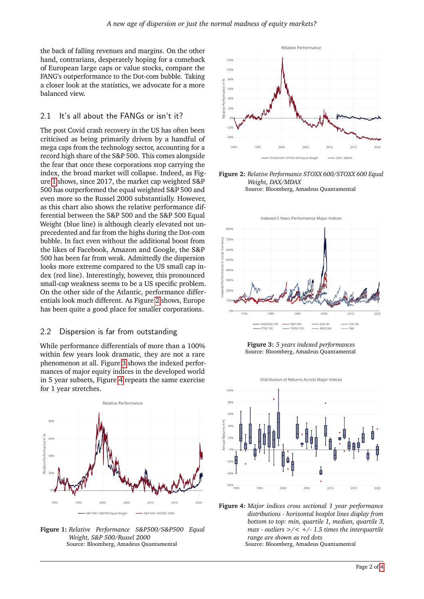the back of falling revenues and margins. On the other hand, contrarians, desperately hoping for a comeback of European large caps or value stocks, compare the FANG's outperformance to the Dot-com bubble. Taking a closer look at the statistics, we advocate for a more balanced view.

#### 2.1 It's all about the FANGs or isn't it?

The post Covid crash recovery in the US has often been criticised as being primarily driven by a handful of mega caps from the technology sector, accounting for a record high share of the S&P 500. This comes alongside the fear that once these corporations stop carrying the index, the broad market will collapse. Indeed, as Figure [1](#page-1-0) shows, since 2017, the market cap weighted S&P 500 has outperformed the equal weighted S&P 500 and even more so the Russel 2000 substantially. However, as this chart also shows the relative performance differential between the S&P 500 and the S&P 500 Equal Weight (blue line) is although clearly elevated not unprecedented and far from the highs during the Dot-com bubble. In fact even without the additional boost from the likes of Facebook, Amazon and Google, the S&P 500 has been far from weak. Admittedly the dispersion looks more extreme compared to the US small cap index (red line). Interestingly, however, this pronounced small-cap weakness seems to be a US specific problem. On the other side of the Atlantic, performance differentials look much different. As Figure [2](#page-1-1) shows, Europe has been quite a good place for smaller corporations.

#### 2.2 Dispersion is far from outstanding

While performance differentials of more than a 100% within few years look dramatic, they are not a rare phenomenon at all. Figure [3](#page-1-2) shows the indexed performances of major equity indices in the developed world in 5 year subsets, Figure [4](#page-1-3) repeats the same exercise for 1 year stretches.

<span id="page-1-0"></span>

**Figure 1:** *Relative Performance S&P500/S&P500 Equal Weight, S&P 500/Russel 2000* Source: Bloomberg, Amadeus Quantamental

<span id="page-1-1"></span>

**Figure 2:** *Relative Performance STOXX 600/STOXX 600 Equal Weight, DAX/MDAX* Source: Bloomberg, Amadeus Quantamental

<span id="page-1-2"></span>

**Figure 3:** *5 years indexed performances* Source: Bloomberg, Amadeus Quantamental

<span id="page-1-3"></span>

**Figure 4:** *Major indices cross sectional 1 year performance distributions - horizontal boxplot lines display from bottom to top: min, quartile 1, median, quartile 3, max - outliers >/< +/- 1.5 times the interquartile range are shown as red dots* Source: Bloomberg, Amadeus Quantamental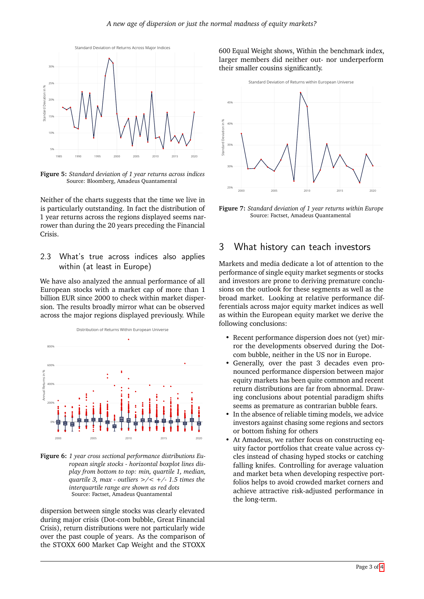

**Figure 5:** *Standard deviation of 1 year returns across indices* Source: Bloomberg, Amadeus Quantamental

Neither of the charts suggests that the time we live in is particularly outstanding. In fact the distribution of 1 year returns across the regions displayed seems narrower than during the 20 years preceding the Financial Crisis.

#### 2.3 What's true across indices also applies within (at least in Europe)

We have also analyzed the annual performance of all European stocks with a market cap of more than 1 billion EUR since 2000 to check within market dispersion. The results broadly mirror what can be observed across the major regions displayed previously. While



**Figure 6:** *1 year cross sectional performance distributions European single stocks - horizontal boxplot lines display from bottom to top: min, quartile 1, median, quartile 3, max - outliers >/< +/- 1.5 times the interquartile range are shown as red dots* Source: Factset, Amadeus Quantamental

dispersion between single stocks was clearly elevated during major crisis (Dot-com bubble, Great Financial Crisis), return distributions were not particularly wide over the past couple of years. As the comparison of the STOXX 600 Market Cap Weight and the STOXX 600 Equal Weight shows, Within the benchmark index, larger members did neither out- nor underperform their smaller cousins significantly.



**Figure 7:** *Standard deviation of 1 year returns within Europe* Source: Factset, Amadeus Quantamental

## 3 What history can teach investors

Markets and media dedicate a lot of attention to the performance of single equity market segments or stocks and investors are prone to deriving premature conclusions on the outlook for these segments as well as the broad market. Looking at relative performance differentials across major equity market indices as well as within the European equity market we derive the following conclusions:

- Recent performance dispersion does not (yet) mirror the developments observed during the Dotcom bubble, neither in the US nor in Europe.
- Generally, over the past 3 decades even pronounced performance dispersion between major equity markets has been quite common and recent return distributions are far from abnormal. Drawing conclusions about potential paradigm shifts seems as premature as contrarian bubble fears.
- In the absence of reliable timing models, we advice investors against chasing some regions and sectors or bottom fishing for others
- At Amadeus, we rather focus on constructing equity factor portfolios that create value across cycles instead of chasing hyped stocks or catching falling knifes. Controlling for average valuation and market beta when developing respective portfolios helps to avoid crowded market corners and achieve attractive risk-adjusted performance in the long-term.